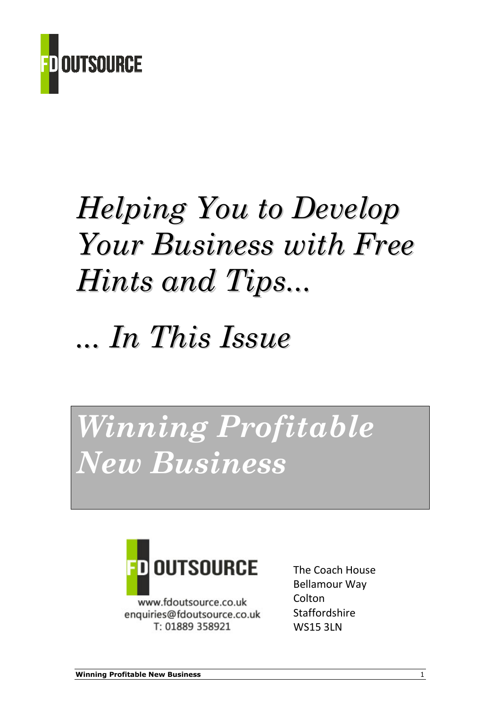

# Helping You to Develop Your Business with Free Hints and Tips...

## ... In This Issue

## Winning Profitable New Business



www.fdoutsource.co.uk enquiries@fdoutsource.co.uk T: 01889 358921

The Coach House Bellamour Way Colton **Staffordshire** WS15 3LN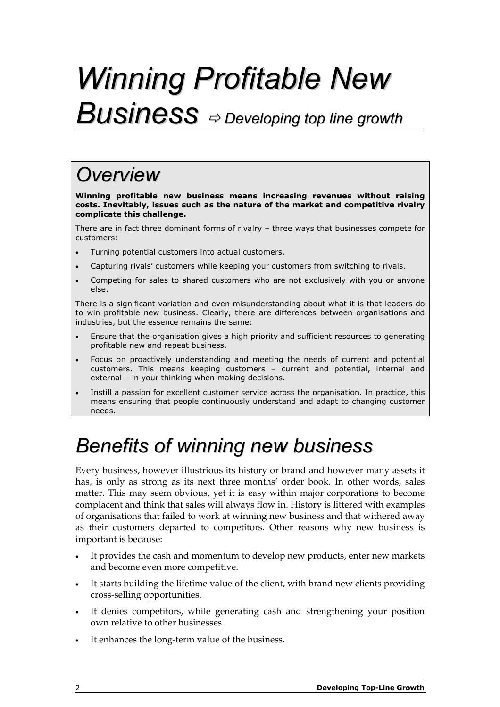# Winning Profitable New  $Business \Rightarrow$  Developing top line growth

### **Overview**

Winning profitable new business means increasing revenues without raising costs. Inevitably, issues such as the nature of the market and competitive rivalry complicate this challenge.

There are in fact three dominant forms of rivalry – three ways that businesses compete for customers:

- Turning potential customers into actual customers.
- Capturing rivals' customers while keeping your customers from switching to rivals.
- Competing for sales to shared customers who are not exclusively with you or anyone else.

There is a significant variation and even misunderstanding about what it is that leaders do to win profitable new business. Clearly, there are differences between organisations and industries, but the essence remains the same:

- Ensure that the organisation gives a high priority and sufficient resources to generating profitable new and repeat business.
- Focus on proactively understanding and meeting the needs of current and potential customers. This means keeping customers – current and potential, internal and external – in your thinking when making decisions.
- Instill a passion for excellent customer service across the organisation. In practice, this means ensuring that people continuously understand and adapt to changing customer needs.

### Benefits of winning new business

Every business, however illustrious its history or brand and however many assets it has, is only as strong as its next three months' order book. In other words, sales matter. This may seem obvious, yet it is easy within major corporations to become complacent and think that sales will always flow in. History is littered with examples of organisations that failed to work at winning new business and that withered away as their customers departed to competitors. Other reasons why new business is important is because:

- It provides the cash and momentum to develop new products, enter new markets and become even more competitive.
- It starts building the lifetime value of the client, with brand new clients providing cross-selling opportunities.
- It denies competitors, while generating cash and strengthening your position own relative to other businesses.
- It enhances the long-term value of the business.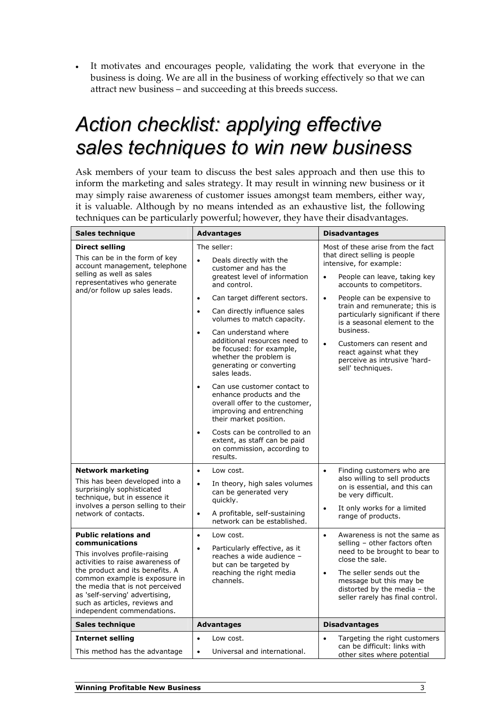• It motivates and encourages people, validating the work that everyone in the business is doing. We are all in the business of working effectively so that we can attract new business – and succeeding at this breeds success.

### Action checklist: applying effective sales techniques to win new business

Ask members of your team to discuss the best sales approach and then use this to inform the marketing and sales strategy. It may result in winning new business or it may simply raise awareness of customer issues amongst team members, either way, it is valuable. Although by no means intended as an exhaustive list, the following techniques can be particularly powerful; however, they have their disadvantages.

| Sales technique                                                                                                                                                                                                                                                                                                                                                                                                                                                                                                      | <b>Advantages</b>                                                                                                                                                                                                                                                                                                                                                                                                                                                                                                                                                                                                                                                                                          | <b>Disadvantages</b>                                                                                                                                                                                                                                                                                                                                                                                                                                                       |
|----------------------------------------------------------------------------------------------------------------------------------------------------------------------------------------------------------------------------------------------------------------------------------------------------------------------------------------------------------------------------------------------------------------------------------------------------------------------------------------------------------------------|------------------------------------------------------------------------------------------------------------------------------------------------------------------------------------------------------------------------------------------------------------------------------------------------------------------------------------------------------------------------------------------------------------------------------------------------------------------------------------------------------------------------------------------------------------------------------------------------------------------------------------------------------------------------------------------------------------|----------------------------------------------------------------------------------------------------------------------------------------------------------------------------------------------------------------------------------------------------------------------------------------------------------------------------------------------------------------------------------------------------------------------------------------------------------------------------|
| <b>Direct selling</b><br>This can be in the form of key<br>account management, telephone<br>selling as well as sales<br>representatives who generate<br>and/or follow up sales leads.                                                                                                                                                                                                                                                                                                                                | The seller:<br>Deals directly with the<br>$\bullet$<br>customer and has the<br>greatest level of information<br>and control.<br>Can target different sectors.<br>$\bullet$<br>Can directly influence sales<br>$\bullet$<br>volumes to match capacity.<br>Can understand where<br>$\bullet$<br>additional resources need to<br>be focused: for example,<br>whether the problem is<br>generating or converting<br>sales leads.<br>Can use customer contact to<br>$\bullet$<br>enhance products and the<br>overall offer to the customer,<br>improving and entrenching<br>their market position.<br>Costs can be controlled to an<br>$\bullet$<br>extent, as staff can be paid<br>on commission, according to | Most of these arise from the fact<br>that direct selling is people<br>intensive, for example:<br>People can leave, taking key<br>$\bullet$<br>accounts to competitors.<br>People can be expensive to<br>$\bullet$<br>train and remunerate; this is<br>particularly significant if there<br>is a seasonal element to the<br>business.<br>Customers can resent and<br>$\bullet$<br>react against what they<br>perceive as intrusive 'hard-<br>sell' techniques.              |
| <b>Network marketing</b><br>This has been developed into a<br>surprisingly sophisticated<br>technique, but in essence it<br>involves a person selling to their<br>network of contacts.<br><b>Public relations and</b><br>communications<br>This involves profile-raising<br>activities to raise awareness of<br>the product and its benefits. A<br>common example is exposure in<br>the media that is not perceived<br>as 'self-serving' advertising,<br>such as articles, reviews and<br>independent commendations. | results.<br>Low cost.<br>$\bullet$<br>In theory, high sales volumes<br>$\bullet$<br>can be generated very<br>quickly.<br>A profitable, self-sustaining<br>$\bullet$<br>network can be established.<br>Low cost.<br>$\bullet$<br>Particularly effective, as it<br>$\bullet$<br>reaches a wide audience -<br>but can be targeted by<br>reaching the right media<br>channels.                                                                                                                                                                                                                                                                                                                                 | Finding customers who are<br>$\bullet$<br>also willing to sell products<br>on is essential, and this can<br>be very difficult.<br>It only works for a limited<br>$\bullet$<br>range of products.<br>Awareness is not the same as<br>$\bullet$<br>selling - other factors often<br>need to be brought to bear to<br>close the sale.<br>The seller sends out the<br>$\bullet$<br>message but this may be<br>distorted by the media - the<br>seller rarely has final control. |
| Sales technique                                                                                                                                                                                                                                                                                                                                                                                                                                                                                                      | <b>Advantages</b>                                                                                                                                                                                                                                                                                                                                                                                                                                                                                                                                                                                                                                                                                          | <b>Disadvantages</b>                                                                                                                                                                                                                                                                                                                                                                                                                                                       |
| <b>Internet selling</b><br>This method has the advantage                                                                                                                                                                                                                                                                                                                                                                                                                                                             | Low cost.<br>$\bullet$<br>Universal and international.<br>$\bullet$                                                                                                                                                                                                                                                                                                                                                                                                                                                                                                                                                                                                                                        | Targeting the right customers<br>can be difficult: links with<br>other sites where potential                                                                                                                                                                                                                                                                                                                                                                               |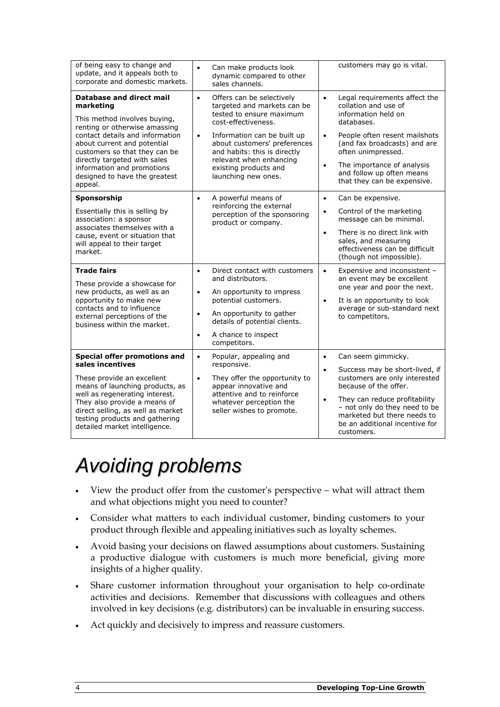| of being easy to change and<br>update, and it appeals both to<br>corporate and domestic markets.                                                                                                                                                                                                                           | Can make products look<br>$\bullet$<br>dynamic compared to other<br>sales channels.                                                                                                                                                                                                                             | customers may go is vital.                                                                                                                                                                                                                                                                                         |
|----------------------------------------------------------------------------------------------------------------------------------------------------------------------------------------------------------------------------------------------------------------------------------------------------------------------------|-----------------------------------------------------------------------------------------------------------------------------------------------------------------------------------------------------------------------------------------------------------------------------------------------------------------|--------------------------------------------------------------------------------------------------------------------------------------------------------------------------------------------------------------------------------------------------------------------------------------------------------------------|
| <b>Database and direct mail</b><br>marketing<br>This method involves buying,<br>renting or otherwise amassing<br>contact details and information<br>about current and potential<br>customers so that they can be<br>directly targeted with sales<br>information and promotions<br>designed to have the greatest<br>appeal. | Offers can be selectively<br>$\bullet$<br>targeted and markets can be<br>tested to ensure maximum<br>cost-effectiveness.<br>Information can be built up<br>$\bullet$<br>about customers' preferences<br>and habits: this is directly<br>relevant when enhancing<br>existing products and<br>launching new ones. | Legal requirements affect the<br>$\bullet$<br>collation and use of<br>information held on<br>databases.<br>People often resent mailshots<br>$\bullet$<br>(and fax broadcasts) and are<br>often unimpressed.<br>The importance of analysis<br>$\bullet$<br>and follow up often means<br>that they can be expensive. |
| Sponsorship<br>Essentially this is selling by<br>association: a sponsor<br>associates themselves with a<br>cause, event or situation that<br>will appeal to their target<br>market.                                                                                                                                        | A powerful means of<br>$\bullet$<br>reinforcing the external<br>perception of the sponsoring<br>product or company.                                                                                                                                                                                             | Can be expensive.<br>$\bullet$<br>Control of the marketing<br>$\bullet$<br>message can be minimal.<br>There is no direct link with<br>$\bullet$<br>sales, and measuring<br>effectiveness can be difficult<br>(though not impossible).                                                                              |
| <b>Trade fairs</b><br>These provide a showcase for<br>new products, as well as an<br>opportunity to make new<br>contacts and to influence<br>external perceptions of the<br>business within the market.                                                                                                                    | Direct contact with customers<br>$\bullet$<br>and distributors.<br>An opportunity to impress<br>$\bullet$<br>potential customers.<br>An opportunity to gather<br>$\bullet$<br>details of potential clients.<br>A chance to inspect<br>$\bullet$<br>competitors.                                                 | Expensive and inconsistent -<br>$\bullet$<br>an event may be excellent<br>one year and poor the next.<br>It is an opportunity to look<br>$\bullet$<br>average or sub-standard next<br>to competitors.                                                                                                              |
| Special offer promotions and<br>sales incentives<br>These provide an excellent<br>means of launching products, as<br>well as regenerating interest.<br>They also provide a means of<br>direct selling, as well as market<br>testing products and gathering<br>detailed market intelligence.                                | Popular, appealing and<br>$\bullet$<br>responsive.<br>$\bullet$<br>They offer the opportunity to<br>appear innovative and<br>attentive and to reinforce<br>whatever perception the<br>seller wishes to promote.                                                                                                 | Can seem gimmicky.<br>$\bullet$<br>Success may be short-lived, if<br>$\bullet$<br>customers are only interested<br>because of the offer.<br>They can reduce profitability<br>$\bullet$<br>- not only do they need to be<br>marketed but there needs to<br>be an additional incentive for<br>customers.             |

### Avoiding problems

- View the product offer from the customer's perspective what will attract them and what objections might you need to counter?
- Consider what matters to each individual customer, binding customers to your product through flexible and appealing initiatives such as loyalty schemes.
- Avoid basing your decisions on flawed assumptions about customers. Sustaining a productive dialogue with customers is much more beneficial, giving more insights of a higher quality.
- Share customer information throughout your organisation to help co-ordinate activities and decisions. Remember that discussions with colleagues and others involved in key decisions (e.g. distributors) can be invaluable in ensuring success.
- Act quickly and decisively to impress and reassure customers.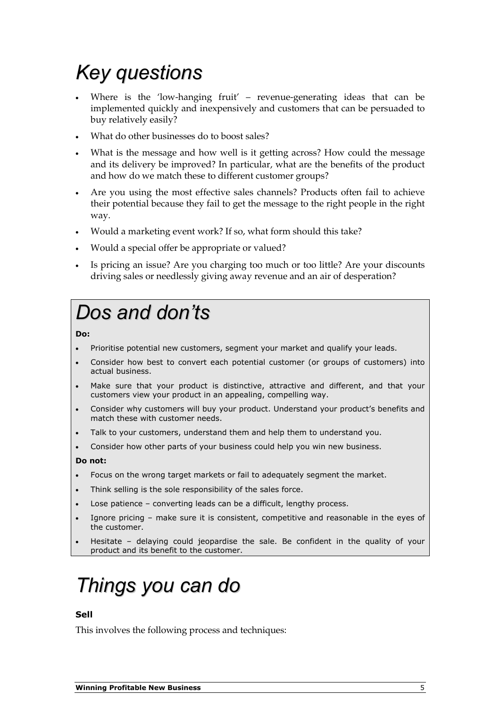## Key questions

- Where is the 'low-hanging fruit' revenue-generating ideas that can be implemented quickly and inexpensively and customers that can be persuaded to buy relatively easily?
- What do other businesses do to boost sales?
- What is the message and how well is it getting across? How could the message and its delivery be improved? In particular, what are the benefits of the product and how do we match these to different customer groups?
- Are you using the most effective sales channels? Products often fail to achieve their potential because they fail to get the message to the right people in the right way.
- Would a marketing event work? If so, what form should this take?
- Would a special offer be appropriate or valued?
- Is pricing an issue? Are you charging too much or too little? Are your discounts driving sales or needlessly giving away revenue and an air of desperation?

### Dos and don'ts

Do:

- Prioritise potential new customers, segment your market and qualify your leads.
- Consider how best to convert each potential customer (or groups of customers) into actual business.
- Make sure that your product is distinctive, attractive and different, and that your customers view your product in an appealing, compelling way.
- Consider why customers will buy your product. Understand your product's benefits and match these with customer needs.
- Talk to your customers, understand them and help them to understand you.
- Consider how other parts of your business could help you win new business.

Do not:

- Focus on the wrong target markets or fail to adequately segment the market.
- Think selling is the sole responsibility of the sales force.
- Lose patience converting leads can be a difficult, lengthy process.
- Ignore pricing make sure it is consistent, competitive and reasonable in the eyes of the customer.
- Hesitate delaying could jeopardise the sale. Be confident in the quality of your product and its benefit to the customer.

### Things you can do

#### Sell

This involves the following process and techniques: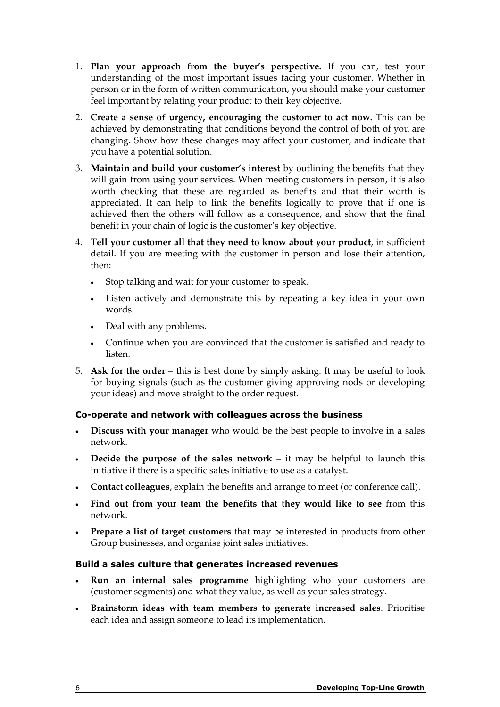- 1. Plan your approach from the buyer's perspective. If you can, test your understanding of the most important issues facing your customer. Whether in person or in the form of written communication, you should make your customer feel important by relating your product to their key objective.
- 2. Create a sense of urgency, encouraging the customer to act now. This can be achieved by demonstrating that conditions beyond the control of both of you are changing. Show how these changes may affect your customer, and indicate that you have a potential solution.
- 3. Maintain and build your customer's interest by outlining the benefits that they will gain from using your services. When meeting customers in person, it is also worth checking that these are regarded as benefits and that their worth is appreciated. It can help to link the benefits logically to prove that if one is achieved then the others will follow as a consequence, and show that the final benefit in your chain of logic is the customer's key objective.
- 4. Tell your customer all that they need to know about your product, in sufficient detail. If you are meeting with the customer in person and lose their attention, then:
	- Stop talking and wait for your customer to speak.
	- Listen actively and demonstrate this by repeating a key idea in your own words.
	- Deal with any problems.
	- Continue when you are convinced that the customer is satisfied and ready to listen.
- 5. Ask for the order this is best done by simply asking. It may be useful to look for buying signals (such as the customer giving approving nods or developing your ideas) and move straight to the order request.

#### Co-operate and network with colleagues across the business

- Discuss with your manager who would be the best people to involve in a sales network.
- Decide the purpose of the sales network it may be helpful to launch this initiative if there is a specific sales initiative to use as a catalyst.
- Contact colleagues, explain the benefits and arrange to meet (or conference call).
- Find out from your team the benefits that they would like to see from this network.
- Prepare a list of target customers that may be interested in products from other Group businesses, and organise joint sales initiatives.

#### Build a sales culture that generates increased revenues

- Run an internal sales programme highlighting who your customers are (customer segments) and what they value, as well as your sales strategy.
- Brainstorm ideas with team members to generate increased sales. Prioritise each idea and assign someone to lead its implementation.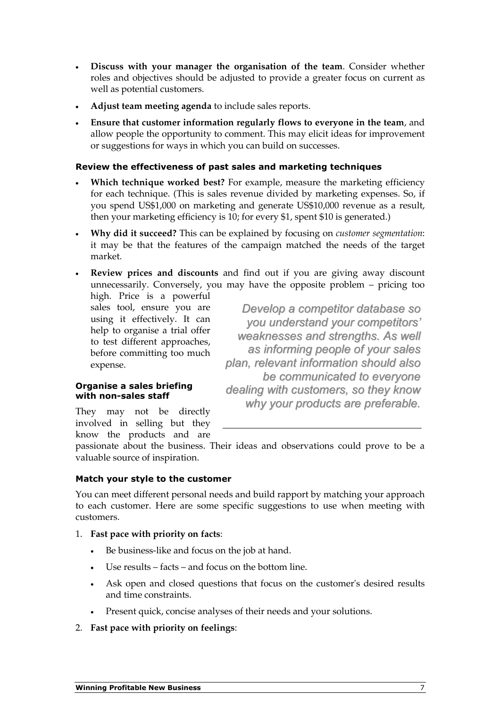- Discuss with your manager the organisation of the team. Consider whether roles and objectives should be adjusted to provide a greater focus on current as well as potential customers.
- Adjust team meeting agenda to include sales reports.
- Ensure that customer information regularly flows to everyone in the team, and allow people the opportunity to comment. This may elicit ideas for improvement or suggestions for ways in which you can build on successes.

#### Review the effectiveness of past sales and marketing techniques

- Which technique worked best? For example, measure the marketing efficiency for each technique. (This is sales revenue divided by marketing expenses. So, if you spend US\$1,000 on marketing and generate US\$10,000 revenue as a result, then your marketing efficiency is 10; for every \$1, spent \$10 is generated.)
- Why did it succeed? This can be explained by focusing on customer segmentation: it may be that the features of the campaign matched the needs of the target market.
- Review prices and discounts and find out if you are giving away discount unnecessarily. Conversely, you may have the opposite problem – pricing too

high. Price is a powerful sales tool, ensure you are using it effectively. It can help to organise a trial offer to test different approaches, before committing too much expense.

Develop a competitor database so you understand your competitors' weaknesses and strengths. As well as informing people of your sales plan, relevant information should also be communicated to everyone dealing with customers, so they know why your products are preferable.

#### Organise a sales briefing with non-sales staff

They may not be directly involved in selling but they know the products and are

passionate about the business. Their ideas and observations could prove to be a valuable source of inspiration.

#### Match your style to the customer

You can meet different personal needs and build rapport by matching your approach to each customer. Here are some specific suggestions to use when meeting with customers.

- 1. Fast pace with priority on facts:
	- Be business-like and focus on the job at hand.
	- Use results facts and focus on the bottom line.
	- Ask open and closed questions that focus on the customer's desired results and time constraints.
	- Present quick, concise analyses of their needs and your solutions.
- 2. Fast pace with priority on feelings: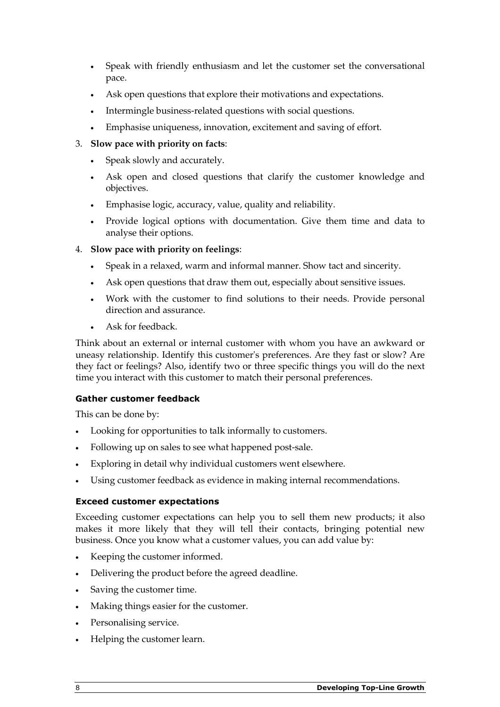- Speak with friendly enthusiasm and let the customer set the conversational pace.
- Ask open questions that explore their motivations and expectations.
- Intermingle business-related questions with social questions.
- Emphasise uniqueness, innovation, excitement and saving of effort.

#### 3. Slow pace with priority on facts:

- Speak slowly and accurately.
- Ask open and closed questions that clarify the customer knowledge and objectives.
- Emphasise logic, accuracy, value, quality and reliability.
- Provide logical options with documentation. Give them time and data to analyse their options.

#### 4. Slow pace with priority on feelings:

- Speak in a relaxed, warm and informal manner. Show tact and sincerity.
- Ask open questions that draw them out, especially about sensitive issues.
- Work with the customer to find solutions to their needs. Provide personal direction and assurance.
- Ask for feedback.

Think about an external or internal customer with whom you have an awkward or uneasy relationship. Identify this customer's preferences. Are they fast or slow? Are they fact or feelings? Also, identify two or three specific things you will do the next time you interact with this customer to match their personal preferences.

#### Gather customer feedback

This can be done by:

- Looking for opportunities to talk informally to customers.
- Following up on sales to see what happened post-sale.
- Exploring in detail why individual customers went elsewhere.
- Using customer feedback as evidence in making internal recommendations.

#### Exceed customer expectations

Exceeding customer expectations can help you to sell them new products; it also makes it more likely that they will tell their contacts, bringing potential new business. Once you know what a customer values, you can add value by:

- Keeping the customer informed.
- Delivering the product before the agreed deadline.
- Saving the customer time.
- Making things easier for the customer.
- Personalising service.
- Helping the customer learn.